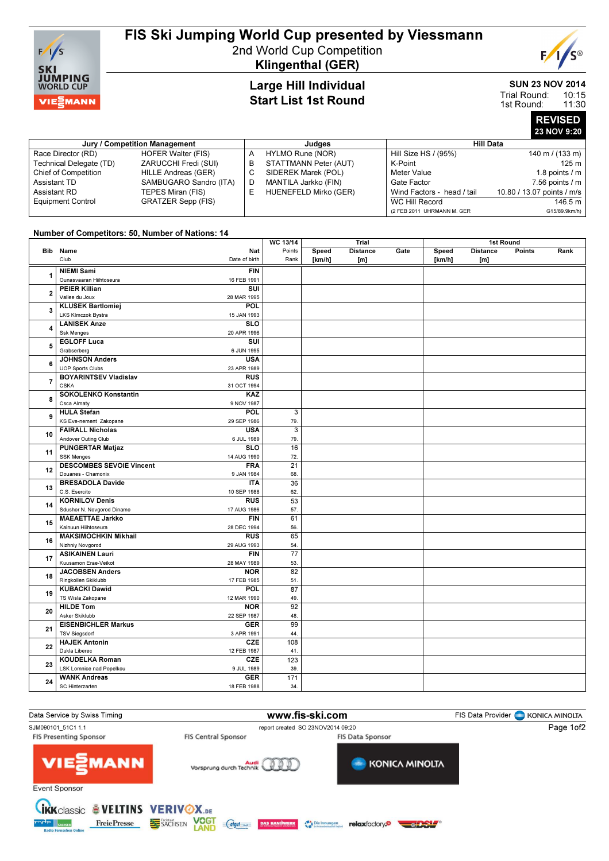

# FIS Ski Jumping World Cup presented by Viessmann

2nd World Cup Competition Klingenthal (GER)

## Large Hill Individual Start List 1st Round

#### SUN 23 NOV 2014 10:15 Trial Round:

E

11:30 1st Round:

> REVISED 23 NOV 9:20

| Jury / Competition Management |                           |   | Judges                | Hill Data                  |                            |  |
|-------------------------------|---------------------------|---|-----------------------|----------------------------|----------------------------|--|
| Race Director (RD)            | HOFER Walter (FIS)        | А | HYLMO Rune (NOR)      | Hill Size HS / (95%)       | 140 m / $(133 m)$          |  |
| Technical Delegate (TD)       | ZARUCCHI Fredi (SUI)      | в | STATTMANN Peter (AUT) | K-Point                    | 125 m                      |  |
| Chief of Competition          | HILLE Andreas (GER)       | С | SIDEREK Marek (POL)   | Meter Value                | 1.8 points $/m$            |  |
| Assistant TD                  | SAMBUGARO Sandro (ITA)    | D | MANTILA Jarkko (FIN)  | Gate Factor                | $7.56$ points $/ m$        |  |
| Assistant RD                  | TEPES Miran (FIS)         | E | HUENEFELD Mirko (GER) | Wind Factors - head / tail | 10.80 / 13.07 points / m/s |  |
| <b>Equipment Control</b>      | <b>GRATZER Sepp (FIS)</b> |   |                       | WC Hill Record             | 146.5 m                    |  |
|                               |                           |   |                       | (2 FEB 2011 UHRMANN M. GER | G15/89.9km/h)              |  |

## Number of Competitors: 50, Number of Nations: 14

|                |                                               |                           | WC 13/14        | Trial  |                 |      | 1st Round |                 |        |      |
|----------------|-----------------------------------------------|---------------------------|-----------------|--------|-----------------|------|-----------|-----------------|--------|------|
|                | Bib Name<br>Club                              | Nat                       | Points          | Speed  | <b>Distance</b> | Gate | Speed     | <b>Distance</b> | Points | Rank |
|                |                                               | Date of birth             | Rank            | [km/h] | [m]             |      | [km/h]    | [m]             |        |      |
| 1              | <b>NIEMI Sami</b><br>Ounasvaaran Hiihtoseura  | <b>FIN</b><br>16 FEB 1991 |                 |        |                 |      |           |                 |        |      |
| $\overline{2}$ | <b>PEIER Killian</b>                          | SUI                       |                 |        |                 |      |           |                 |        |      |
|                | Vallee du Joux                                | 28 MAR 1995               |                 |        |                 |      |           |                 |        |      |
|                | <b>KLUSEK Bartlomiej</b>                      | POL                       |                 |        |                 |      |           |                 |        |      |
| 3              | <b>LKS Klmczok Bystra</b>                     | 15 JAN 1993               |                 |        |                 |      |           |                 |        |      |
|                | <b>LANISEK Anze</b>                           | <b>SLO</b>                |                 |        |                 |      |           |                 |        |      |
| 4              | <b>Ssk Menges</b>                             | 20 APR 1996               |                 |        |                 |      |           |                 |        |      |
| 5              | <b>EGLOFF Luca</b>                            | SUI                       |                 |        |                 |      |           |                 |        |      |
|                | Grabserberg                                   | 6 JUN 1995                |                 |        |                 |      |           |                 |        |      |
|                | <b>JOHNSON Anders</b>                         | <b>USA</b>                |                 |        |                 |      |           |                 |        |      |
| 6              | <b>UOP Sports Clubs</b>                       | 23 APR 1989               |                 |        |                 |      |           |                 |        |      |
| $\overline{7}$ | <b>BOYARINTSEV Vladislav</b>                  | <b>RUS</b>                |                 |        |                 |      |           |                 |        |      |
|                | <b>CSKA</b>                                   | 31 OCT 1994               |                 |        |                 |      |           |                 |        |      |
| 8              | <b>SOKOLENKO Konstantin</b>                   | KAZ                       |                 |        |                 |      |           |                 |        |      |
|                | Csca Almaty                                   | 9 NOV 1987                |                 |        |                 |      |           |                 |        |      |
| 9              | <b>HULA Stefan</b>                            | POL                       | 3               |        |                 |      |           |                 |        |      |
|                | KS Eve-nement Zakopane                        | 29 SEP 1986               | 79.             |        |                 |      |           |                 |        |      |
| 10             | <b>FAIRALL Nicholas</b>                       | <b>USA</b>                | 3               |        |                 |      |           |                 |        |      |
|                | Andover Outing Club                           | 6 JUL 1989                | 79.             |        |                 |      |           |                 |        |      |
| 11             | <b>PUNGERTAR Matjaz</b>                       | <b>SLO</b>                | 16              |        |                 |      |           |                 |        |      |
|                | <b>SSK Menges</b>                             | 14 AUG 1990               | 72.             |        |                 |      |           |                 |        |      |
| 12             | <b>DESCOMBES SEVOIE Vincent</b>               | <b>FRA</b>                | 21              |        |                 |      |           |                 |        |      |
|                | Douanes - Chamonix<br><b>BRESADOLA Davide</b> | 9 JAN 1984<br><b>ITA</b>  | 68.<br>36       |        |                 |      |           |                 |        |      |
| 13             | C.S. Esercito                                 | 10 SEP 1988               | 62.             |        |                 |      |           |                 |        |      |
|                | <b>KORNILOV Denis</b>                         | <b>RUS</b>                | 53              |        |                 |      |           |                 |        |      |
| 14             | Sdushor N. Novgorod Dinamo                    | 17 AUG 1986               | 57.             |        |                 |      |           |                 |        |      |
|                | <b>MAEAETTAE Jarkko</b>                       | <b>FIN</b>                | 61              |        |                 |      |           |                 |        |      |
| 15             | Kainuun Hiihtoseura                           | 28 DEC 1994               | 56.             |        |                 |      |           |                 |        |      |
|                | <b>MAKSIMOCHKIN Mikhail</b>                   | $\overline{R}$ US         | 65              |        |                 |      |           |                 |        |      |
| 16             | Nizhniy Novgorod                              | 29 AUG 1993               | 54.             |        |                 |      |           |                 |        |      |
|                | <b>ASIKAINEN Lauri</b>                        | <b>FIN</b>                | $\overline{77}$ |        |                 |      |           |                 |        |      |
| 17             | Kuusamon Erae-Veikot                          | 28 MAY 1989               | 53.             |        |                 |      |           |                 |        |      |
|                | <b>JACOBSEN Anders</b>                        | <b>NOR</b>                | 82              |        |                 |      |           |                 |        |      |
| 18             | Ringkollen Skiklubb                           | 17 FEB 1985               | 51.             |        |                 |      |           |                 |        |      |
|                | <b>KUBACKI Dawid</b>                          | <b>POL</b>                | 87              |        |                 |      |           |                 |        |      |
| 19             | TS Wisla Zakopane                             | 12 MAR 1990               | 49.             |        |                 |      |           |                 |        |      |
| 20             | <b>HILDE Tom</b>                              | <b>NOR</b>                | 92              |        |                 |      |           |                 |        |      |
|                | Asker Skiklubb                                | 22 SEP 1987               | 48.             |        |                 |      |           |                 |        |      |
| 21             | <b>EISENBICHLER Markus</b>                    | <b>GER</b>                | 99              |        |                 |      |           |                 |        |      |
|                | <b>TSV Siegsdorf</b>                          | 3 APR 1991                | 44.             |        |                 |      |           |                 |        |      |
| 22             | <b>HAJEK Antonin</b>                          | <b>CZE</b>                | 108             |        |                 |      |           |                 |        |      |
|                | Dukla Liberec                                 | 12 FEB 1987               | 41.             |        |                 |      |           |                 |        |      |
| 23             | <b>KOUDELKA Roman</b>                         | <b>CZE</b>                | 123             |        |                 |      |           |                 |        |      |
|                | <b>LSK Lomnice nad Popelkou</b>               | 9 JUL 1989<br><b>GER</b>  | 39.             |        |                 |      |           |                 |        |      |
| 24             | <b>WANK Andreas</b><br>SC Hinterzarten        | 18 FEB 1988               | 171<br>34.      |        |                 |      |           |                 |        |      |
|                |                                               |                           |                 |        |                 |      |           |                 |        |      |